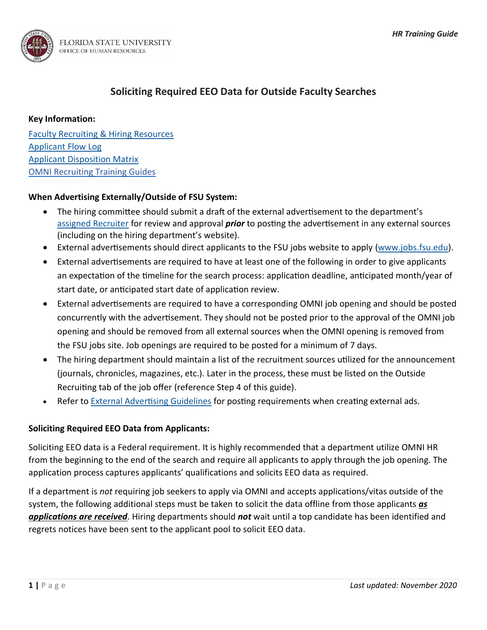

# **Soliciting Required EEO Data for Outside Faculty Searches**

### **Key Information:**

[Faculty Recruiting & Hiring Resources](https://hr.fsu.edu/sections/employment-recruitment-services/departments/faculty-recruiting-hiring-resources) [Applicant Flow Log](http://hr.fsu.edu/pdf/forms/facflowlog_fill-2.xlsx) [Applicant Disposition Matrix](https://hr.fsu.edu/sites/g/files/upcbnu2186/files/PDF/Publications/employment/Applicant_Disposition_Matrix.pdf) [OMNI Recruiting Training Guides](https://hr.fsu.edu/sections/training-organizational-development/omni-training-guides)

# **When Advertising Externally/Outside of FSU System:**

- The hiring committee should submit a draft of the external advertisement to the department's [assigned Recruiter](https://hr.fsu.edu/sites/g/files/upcbnu2186/files/PDF/Analyst%20and%20Recruiter%20Departmental%20Assignments.pdf) for review and approval *prior* to posting the advertisement in any external sources (including on the hiring department's website).
- External advertisements should direct applicants to the FSU jobs website to apply [\(www.jobs.fsu.edu\)](http://www.jobs.fsu.edu/).
- External advertisements are required to have at least one of the following in order to give applicants an expectation of the timeline for the search process: application deadline, anticipated month/year of start date, or anticipated start date of application review.
- External advertisements are required to have a corresponding OMNI job opening and should be posted concurrently with the advertisement. They should not be posted prior to the approval of the OMNI job opening and should be removed from all external sources when the OMNI opening is removed from the FSU jobs site. Job openings are required to be posted for a minimum of 7 days.
- The hiring department should maintain a list of the recruitment sources utilized for the announcement (journals, chronicles, magazines, etc.). Later in the process, these must be listed on the Outside Recruiting tab of the job offer (reference Step 4 of this guide).
- Refer to **External Advertising Guidelines** for posting requirements when creating external ads.

### **Soliciting Required EEO Data from Applicants:**

Soliciting EEO data is a Federal requirement. It is highly recommended that a department utilize OMNI HR from the beginning to the end of the search and require all applicants to apply through the job opening. The application process captures applicants' qualifications and solicits EEO data as required.

If a department is *not* requiring job seekers to apply via OMNI and accepts applications/vitas outside of the system, the following additional steps must be taken to solicit the data offline from those applicants *as applications are received*. Hiring departments should *not* wait until a top candidate has been identified and regrets notices have been sent to the applicant pool to solicit EEO data.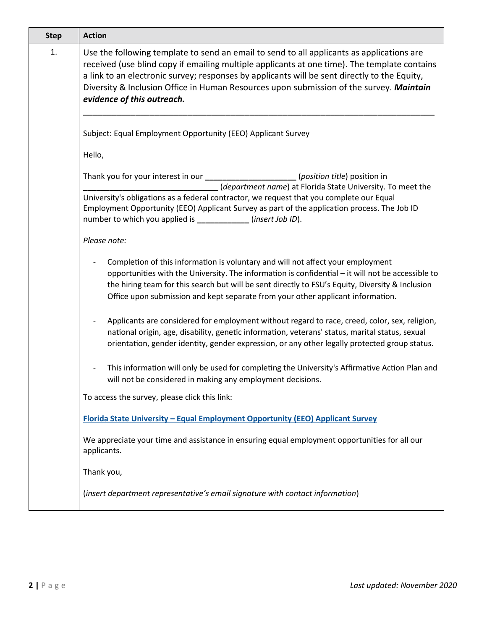| <b>Step</b> | <b>Action</b>                                                                                                                                                                                                                                                                                                                                                                                                      |  |  |  |  |  |  |
|-------------|--------------------------------------------------------------------------------------------------------------------------------------------------------------------------------------------------------------------------------------------------------------------------------------------------------------------------------------------------------------------------------------------------------------------|--|--|--|--|--|--|
| 1.          | Use the following template to send an email to send to all applicants as applications are<br>received (use blind copy if emailing multiple applicants at one time). The template contains<br>a link to an electronic survey; responses by applicants will be sent directly to the Equity,<br>Diversity & Inclusion Office in Human Resources upon submission of the survey. Maintain<br>evidence of this outreach. |  |  |  |  |  |  |
|             | Subject: Equal Employment Opportunity (EEO) Applicant Survey                                                                                                                                                                                                                                                                                                                                                       |  |  |  |  |  |  |
|             | Hello,                                                                                                                                                                                                                                                                                                                                                                                                             |  |  |  |  |  |  |
|             | Thank you for your interest in our _____________________(position title) position in<br>(department name) at Florida State University. To meet the<br>University's obligations as a federal contractor, we request that you complete our Equal<br>Employment Opportunity (EEO) Applicant Survey as part of the application process. The Job ID<br>number to which you applied is ___________ (insert Job ID).      |  |  |  |  |  |  |
|             | Please note:                                                                                                                                                                                                                                                                                                                                                                                                       |  |  |  |  |  |  |
|             | Completion of this information is voluntary and will not affect your employment<br>opportunities with the University. The information is confidential - it will not be accessible to<br>the hiring team for this search but will be sent directly to FSU's Equity, Diversity & Inclusion<br>Office upon submission and kept separate from your other applicant information.                                        |  |  |  |  |  |  |
|             | Applicants are considered for employment without regard to race, creed, color, sex, religion,<br>national origin, age, disability, genetic information, veterans' status, marital status, sexual<br>orientation, gender identity, gender expression, or any other legally protected group status.                                                                                                                  |  |  |  |  |  |  |
|             | This information will only be used for completing the University's Affirmative Action Plan and<br>will not be considered in making any employment decisions.                                                                                                                                                                                                                                                       |  |  |  |  |  |  |
|             | To access the survey, please click this link:                                                                                                                                                                                                                                                                                                                                                                      |  |  |  |  |  |  |
|             | Florida State University - Equal Employment Opportunity (EEO) Applicant Survey                                                                                                                                                                                                                                                                                                                                     |  |  |  |  |  |  |
|             | We appreciate your time and assistance in ensuring equal employment opportunities for all our<br>applicants.                                                                                                                                                                                                                                                                                                       |  |  |  |  |  |  |
|             | Thank you,                                                                                                                                                                                                                                                                                                                                                                                                         |  |  |  |  |  |  |
|             | (insert department representative's email signature with contact information)                                                                                                                                                                                                                                                                                                                                      |  |  |  |  |  |  |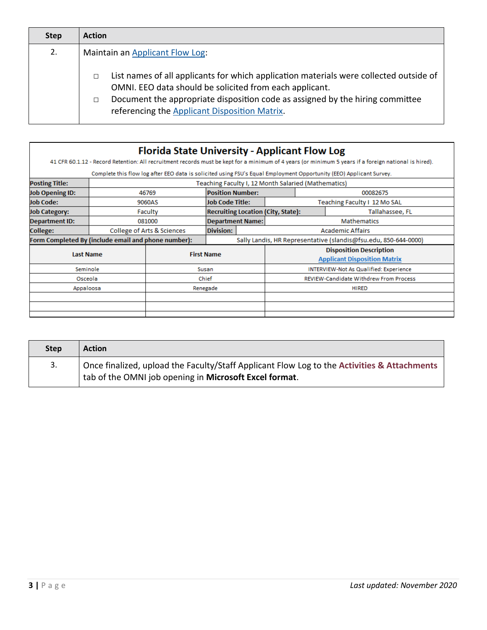| <b>Step</b> | <b>Action</b>                                                                                                                                                                                                                                                                                      |  |  |  |  |  |
|-------------|----------------------------------------------------------------------------------------------------------------------------------------------------------------------------------------------------------------------------------------------------------------------------------------------------|--|--|--|--|--|
| 2.          | Maintain an Applicant Flow Log:                                                                                                                                                                                                                                                                    |  |  |  |  |  |
|             | List names of all applicants for which application materials were collected outside of<br>$\Box$<br>OMNI. EEO data should be solicited from each applicant.<br>Document the appropriate disposition code as assigned by the hiring committee<br>П<br>referencing the Applicant Disposition Matrix. |  |  |  |  |  |

|                                                     |         | <b>Florida State University - Applicant Flow Log</b> |                                                                 |                                               |                                                                       |                    | 41 CFR 60.1.12 - Record Retention: All recruitment records must be kept for a minimum of 4 years (or minimum 5 years if a foreign national is hired). |  |
|-----------------------------------------------------|---------|------------------------------------------------------|-----------------------------------------------------------------|-----------------------------------------------|-----------------------------------------------------------------------|--------------------|-------------------------------------------------------------------------------------------------------------------------------------------------------|--|
|                                                     |         |                                                      |                                                                 |                                               |                                                                       |                    | Complete this flow log after EEO data is solicited using FSU's Equal Employment Opportunity (EEO) Applicant Survey.                                   |  |
| <b>Posting Title:</b>                               |         |                                                      |                                                                 |                                               | Teaching Faculty I, 12 Month Salaried (Mathematics)                   |                    |                                                                                                                                                       |  |
| <b>Job Opening ID:</b>                              |         | 46769                                                | <b>Position Number:</b>                                         |                                               |                                                                       | 00082675           |                                                                                                                                                       |  |
| <b>Job Code:</b>                                    | 9060AS  |                                                      | <b>Job Code Title:</b>                                          |                                               | Teaching Faculty 1 12 Mo SAL                                          |                    |                                                                                                                                                       |  |
| <b>Job Category:</b>                                | Faculty |                                                      |                                                                 |                                               | <b>Recruiting Location (City, State):</b>                             |                    | Tallahassee, FL                                                                                                                                       |  |
| <b>Department ID:</b>                               | 081000  |                                                      | <b>Department Name:</b>                                         |                                               |                                                                       | <b>Mathematics</b> |                                                                                                                                                       |  |
| College:                                            |         | Division:<br>College of Arts & Sciences              |                                                                 |                                               | <b>Academic Affairs</b>                                               |                    |                                                                                                                                                       |  |
| Form Completed By (include email and phone number): |         |                                                      | Sally Landis, HR Representative (slandis@fsu.edu, 850-644-0000) |                                               |                                                                       |                    |                                                                                                                                                       |  |
| <b>Last Name</b>                                    |         |                                                      | <b>First Name</b>                                               |                                               | <b>Disposition Description</b><br><b>Applicant Disposition Matrix</b> |                    |                                                                                                                                                       |  |
| Seminole                                            |         |                                                      | Susan                                                           |                                               | <b>INTERVIEW-Not As Qualified: Experience</b>                         |                    |                                                                                                                                                       |  |
| Osceola                                             |         | Chief                                                |                                                                 | <b>REVIEW-Candidate Withdrew From Process</b> |                                                                       |                    |                                                                                                                                                       |  |
| Appaloosa                                           |         | Renegade                                             |                                                                 | <b>HIRED</b>                                  |                                                                       |                    |                                                                                                                                                       |  |
|                                                     |         |                                                      |                                                                 |                                               |                                                                       |                    |                                                                                                                                                       |  |
|                                                     |         |                                                      |                                                                 |                                               |                                                                       |                    |                                                                                                                                                       |  |
|                                                     |         |                                                      |                                                                 |                                               |                                                                       |                    |                                                                                                                                                       |  |

| <b>Step</b> | <b>Action</b>                                                                                                                                         |
|-------------|-------------------------------------------------------------------------------------------------------------------------------------------------------|
|             | Once finalized, upload the Faculty/Staff Applicant Flow Log to the Activities & Attachments<br>tab of the OMNI job opening in Microsoft Excel format. |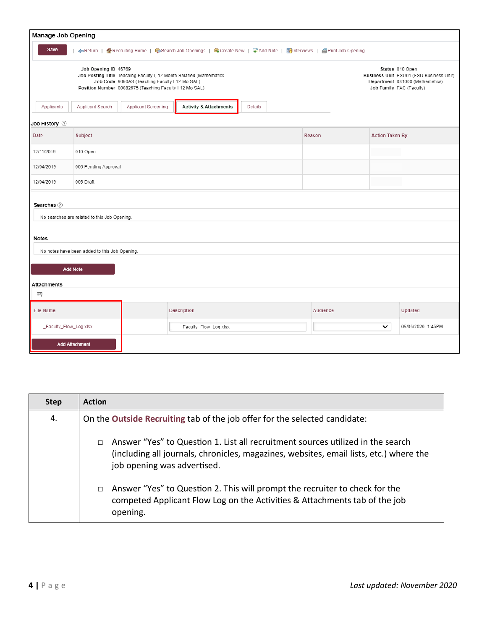| Manage Job Opening |                                                                                                                                                                                                           |                     |                                                                                                                     |         |  |                                                                                                                           |                        |         |
|--------------------|-----------------------------------------------------------------------------------------------------------------------------------------------------------------------------------------------------------|---------------------|---------------------------------------------------------------------------------------------------------------------|---------|--|---------------------------------------------------------------------------------------------------------------------------|------------------------|---------|
| Save               |                                                                                                                                                                                                           |                     | ←Return   个Recruiting Home   ● Search Job Openings   电 Create New   本 Add Note   Kolnterviews   国 Print Job Opening |         |  |                                                                                                                           |                        |         |
|                    | Job Opening ID 46769<br>Job Posting Title Teaching Faculty I, 12 Month Salaried (Mathematics<br>Job Code 9060AS (Teaching Faculty I 12 Mo SAL)<br>Position Number 00082675 (Teaching Faculty I 12 Mo SAL) |                     |                                                                                                                     |         |  | Status 010 Open<br>Business Unit FSU01 (FSU Business Unit)<br>Department 081000 (Mathematics)<br>Job Family FAC (Faculty) |                        |         |
| Applicants         | Applicant Search                                                                                                                                                                                          | Applicant Screening | <b>Activity &amp; Attachments</b>                                                                                   | Details |  |                                                                                                                           |                        |         |
| Job History 2      |                                                                                                                                                                                                           |                     |                                                                                                                     |         |  |                                                                                                                           |                        |         |
| Date               | Subject                                                                                                                                                                                                   |                     |                                                                                                                     |         |  | Reason                                                                                                                    | <b>Action Taken By</b> |         |
| 12/11/2019         | 010 Open                                                                                                                                                                                                  |                     |                                                                                                                     |         |  |                                                                                                                           |                        |         |
| 12/04/2019         | 006 Pending Approval                                                                                                                                                                                      |                     |                                                                                                                     |         |  |                                                                                                                           |                        |         |
| 12/04/2019         | 005 Draft                                                                                                                                                                                                 |                     |                                                                                                                     |         |  |                                                                                                                           |                        |         |
| Searches 2         |                                                                                                                                                                                                           |                     |                                                                                                                     |         |  |                                                                                                                           |                        |         |
|                    | No searches are related to this Job Opening.                                                                                                                                                              |                     |                                                                                                                     |         |  |                                                                                                                           |                        |         |
| Notes              |                                                                                                                                                                                                           |                     |                                                                                                                     |         |  |                                                                                                                           |                        |         |
|                    | No notes have been added to this Job Opening.                                                                                                                                                             |                     |                                                                                                                     |         |  |                                                                                                                           |                        |         |
| <b>Add Note</b>    |                                                                                                                                                                                                           |                     |                                                                                                                     |         |  |                                                                                                                           |                        |         |
|                    |                                                                                                                                                                                                           |                     |                                                                                                                     |         |  |                                                                                                                           |                        |         |
| Attachments<br>再   |                                                                                                                                                                                                           |                     |                                                                                                                     |         |  |                                                                                                                           |                        |         |
| <b>File Name</b>   |                                                                                                                                                                                                           |                     | Description                                                                                                         |         |  | Audience                                                                                                                  |                        | Updated |
|                    | _Faculty_Flow_Log.xlsx<br>_Faculty_Flow_Log.xlsx                                                                                                                                                          |                     |                                                                                                                     |         |  | ◡                                                                                                                         | 05/05/2020 1:45PM      |         |
|                    | <b>Add Attachment</b>                                                                                                                                                                                     |                     |                                                                                                                     |         |  |                                                                                                                           |                        |         |

| <b>Step</b> | <b>Action</b>                                                                                                                                                                                                      |
|-------------|--------------------------------------------------------------------------------------------------------------------------------------------------------------------------------------------------------------------|
| 4.          | On the Outside Recruiting tab of the job offer for the selected candidate:                                                                                                                                         |
|             | Answer "Yes" to Question 1. List all recruitment sources utilized in the search<br>$\Box$<br>(including all journals, chronicles, magazines, websites, email lists, etc.) where the<br>job opening was advertised. |
|             | Answer "Yes" to Question 2. This will prompt the recruiter to check for the<br>$\Box$<br>competed Applicant Flow Log on the Activities & Attachments tab of the job<br>opening.                                    |